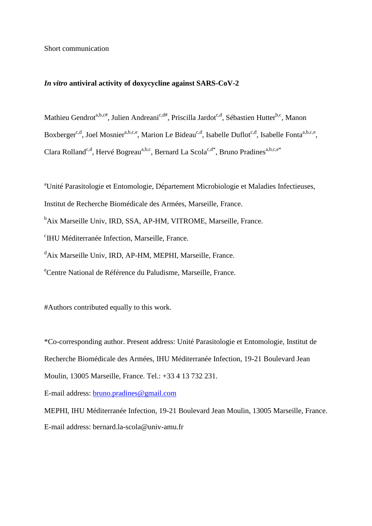Short communication

## *In vitro* **antiviral activity of doxycycline against SARS-CoV-2**

Mathieu Gendrot<sup>a,b,c#</sup>, Julien Andreani<sup>c,d#</sup>, Priscilla Jardot<sup>c,d</sup>, Sébastien Hutter<sup>b,c</sup>, Manon Boxberger<sup>c,d</sup>, Joel Mosnier<sup>a,b,c,e</sup>, Marion Le Bideau<sup>c,d</sup>, Isabelle Duflot<sup>c,d</sup>, Isabelle Fonta<sup>a,b,c,e</sup>, Clara Rolland<sup>c,d</sup>, Hervé Bogreau<sup>a,b,c</sup>, Bernard La Scola<sup>c,d\*</sup>, Bruno Pradines<sup>a,b,c,e\*</sup>

<sup>a</sup>Unité Parasitologie et Entomologie, Département Microbiologie et Maladies Infectieuses, Institut de Recherche Biomédicale des Armées, Marseille, France. <sup>b</sup>Aix Marseille Univ, IRD, SSA, AP-HM, VITROME, Marseille, France. c IHU Méditerranée Infection, Marseille, France. <sup>d</sup>Aix Marseille Univ, IRD, AP-HM, MEPHI, Marseille, France. <sup>e</sup>Centre National de Référence du Paludisme, Marseille, France.

#Authors contributed equally to this work.

\*Co-corresponding author. Present address: Unité Parasitologie et Entomologie, Institut de Recherche Biomédicale des Armées, IHU Méditerranée Infection, 19-21 Boulevard Jean Moulin, 13005 Marseille, France. Tel.: +33 4 13 732 231.

E-mail address: [bruno.pradines@gmail.com](mailto:bruno.pradines@gmail.com)

MEPHI, IHU Méditerranée Infection, 19-21 Boulevard Jean Moulin, 13005 Marseille, France. E-mail address: bernard.la-scola@univ-amu.fr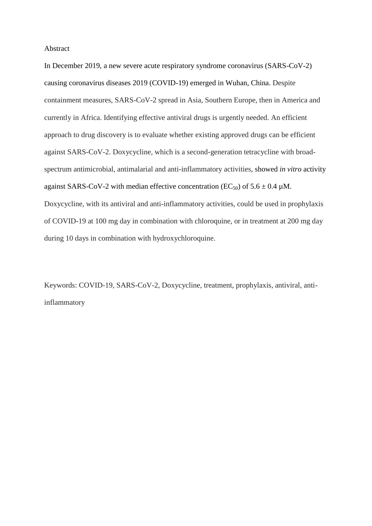### Abstract

In December 2019, a new severe acute respiratory syndrome coronavirus (SARS-CoV-2) causing coronavirus diseases 2019 (COVID-19) emerged in Wuhan, China. Despite containment measures, SARS-CoV-2 spread in Asia, Southern Europe, then in America and currently in Africa. Identifying effective antiviral drugs is urgently needed. An efficient approach to drug discovery is to evaluate whether existing approved drugs can be efficient against SARS-CoV-2. Doxycycline, which is a second-generation tetracycline with broadspectrum antimicrobial, antimalarial and anti-inflammatory activities, showed *in vitro* activity against SARS-CoV-2 with median effective concentration (EC<sub>50</sub>) of  $5.6 \pm 0.4 \mu M$ . Doxycycline, with its antiviral and anti-inflammatory activities, could be used in prophylaxis of COVID-19 at 100 mg day in combination with chloroquine, or in treatment at 200 mg day during 10 days in combination with hydroxychloroquine.

Keywords: COVID-19, SARS-CoV-2, Doxycycline, treatment, prophylaxis, antiviral, antiinflammatory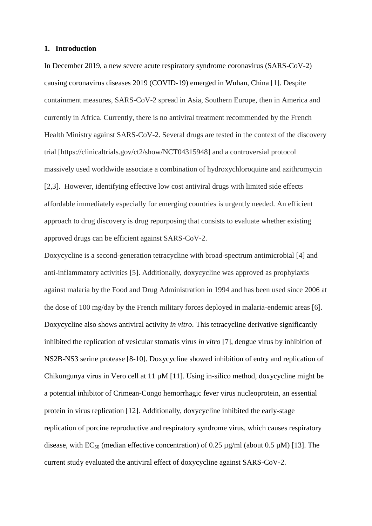## **1. Introduction**

In December 2019, a new severe acute respiratory syndrome coronavirus (SARS-CoV-2) causing coronavirus diseases 2019 (COVID-19) emerged in Wuhan, China [1]. Despite containment measures, SARS-CoV-2 spread in Asia, Southern Europe, then in America and currently in Africa. Currently, there is no antiviral treatment recommended by the French Health Ministry against SARS-CoV-2. Several drugs are tested in the context of the discovery trial [https://clinicaltrials.gov/ct2/show/NCT04315948] and a controversial protocol massively used worldwide associate a combination of hydroxychloroquine and azithromycin [2,3]. However, identifying effective low cost antiviral drugs with limited side effects affordable immediately especially for emerging countries is urgently needed. An efficient approach to drug discovery is drug repurposing that consists to evaluate whether existing approved drugs can be efficient against SARS-CoV-2.

Doxycycline is a second-generation tetracycline with broad-spectrum antimicrobial [4] and anti-inflammatory activities [5]. Additionally, doxycycline was approved as prophylaxis against malaria by the Food and Drug Administration in 1994 and has been used since 2006 at the dose of 100 mg/day by the French military forces deployed in malaria-endemic areas [6]. Doxycycline also shows antiviral activity *in vitro*. This tetracycline derivative significantly inhibited the replication of vesicular stomatis virus *in vitro* [7], dengue virus by inhibition of NS2B-NS3 serine protease [8-10]. Doxycycline showed inhibition of entry and replication of Chikungunya virus in Vero cell at 11 µM [11]. Using in-silico method, doxycycline might be a potential inhibitor of Crimean-Congo hemorrhagic fever virus nucleoprotein, an essential protein in virus replication [12]. Additionally, doxycycline inhibited the early-stage replication of porcine reproductive and respiratory syndrome virus, which causes respiratory disease, with  $EC_{50}$  (median effective concentration) of 0.25  $\mu$ g/ml (about 0.5  $\mu$ M) [13]. The current study evaluated the antiviral effect of doxycycline against SARS-CoV-2.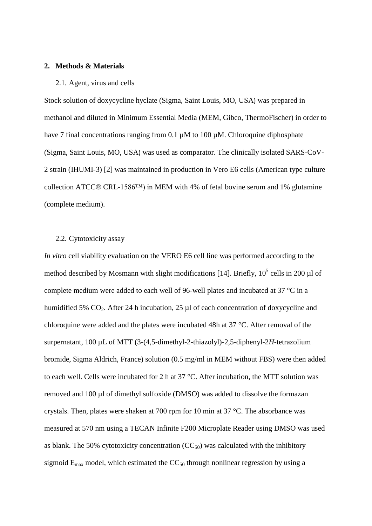# **2. Methods & Materials**

### 2.1. Agent, virus and cells

Stock solution of doxycycline hyclate (Sigma, Saint Louis, MO, USA) was prepared in methanol and diluted in Minimum Essential Media (MEM, Gibco, ThermoFischer) in order to have 7 final concentrations ranging from 0.1  $\mu$ M to 100  $\mu$ M. Chloroquine diphosphate (Sigma, Saint Louis, MO, USA) was used as comparator. The clinically isolated SARS-CoV-2 strain (IHUMI-3) [2] was maintained in production in Vero E6 cells (American type culture collection ATCC® CRL-1586™) in MEM with 4% of fetal bovine serum and 1% glutamine (complete medium).

## 2.2. Cytotoxicity assay

*In vitro* cell viability evaluation on the VERO E6 cell line was performed according to the method described by Mosmann with slight modifications [14]. Briefly,  $10^5$  cells in 200 µl of complete medium were added to each well of 96-well plates and incubated at 37 °C in a humidified 5% CO<sub>2</sub>. After 24 h incubation, 25 µl of each concentration of doxycycline and chloroquine were added and the plates were incubated 48h at 37 °C. After removal of the surpernatant, 100 µL of MTT (3-(4,5-dimethyl-2-thiazolyl)-2,5-diphenyl-2*H*-tetrazolium bromide, Sigma Aldrich, France) solution (0.5 mg/ml in MEM without FBS) were then added to each well. Cells were incubated for 2 h at 37 °C. After incubation, the MTT solution was removed and 100 µl of dimethyl sulfoxide (DMSO) was added to dissolve the formazan crystals. Then, plates were shaken at 700 rpm for 10 min at 37 °C. The absorbance was measured at 570 nm using a TECAN Infinite F200 Microplate Reader using DMSO was used as blank. The 50% cytotoxicity concentration  $(CC_{50})$  was calculated with the inhibitory sigmoid  $E_{\text{max}}$  model, which estimated the  $CC_{50}$  through nonlinear regression by using a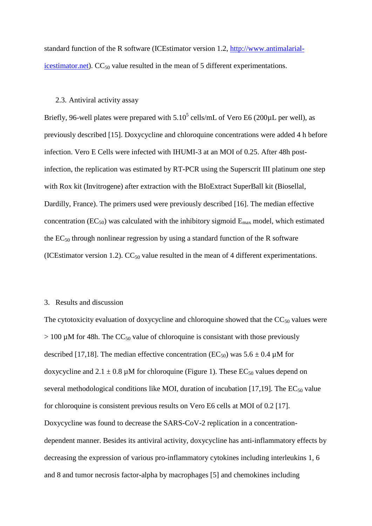standard function of the R software (ICEstimator version 1.2, [http://www.antimalarial](http://www.antimalarial-icestimator.net/)[icestimator.net\)](http://www.antimalarial-icestimator.net/).  $CC_{50}$  value resulted in the mean of 5 different experimentations.

## 2.3. Antiviral activity assay

Briefly, 96-well plates were prepared with  $5.10^5$  cells/mL of Vero E6 (200 $\mu$ L per well), as previously described [15]. Doxycycline and chloroquine concentrations were added 4 h before infection. Vero E Cells were infected with IHUMI-3 at an MOI of 0.25. After 48h postinfection, the replication was estimated by RT-PCR using the Superscrit III platinum one step with Rox kit (Invitrogene) after extraction with the BIoExtract SuperBall kit (Biosellal, Dardilly, France). The primers used were previously described [16]. The median effective concentration ( $EC_{50}$ ) was calculated with the inhibitory sigmoid  $E_{\text{max}}$  model, which estimated the  $EC_{50}$  through nonlinear regression by using a standard function of the R software (ICEstimator version 1.2).  $CC_{50}$  value resulted in the mean of 4 different experimentations.

## 3. Results and discussion

The cytotoxicity evaluation of doxycycline and chloroquine showed that the  $CC_{50}$  values were  $> 100 \mu M$  for 48h. The CC<sub>50</sub> value of chloroquine is consistant with those previously described [17,18]. The median effective concentration (EC<sub>50</sub>) was  $5.6 \pm 0.4 \mu$ M for doxycycline and  $2.1 \pm 0.8$  µM for chloroquine (Figure 1). These EC<sub>50</sub> values depend on several methodological conditions like MOI, duration of incubation [17,19]. The  $EC_{50}$  value for chloroquine is consistent previous results on Vero E6 cells at MOI of 0.2 [17]. Doxycycline was found to decrease the SARS-CoV-2 replication in a concentrationdependent manner. Besides its antiviral activity, doxycycline has anti-inflammatory effects by decreasing the expression of various pro-inflammatory cytokines including interleukins 1, 6 and 8 and tumor necrosis factor-alpha by macrophages [5] and chemokines including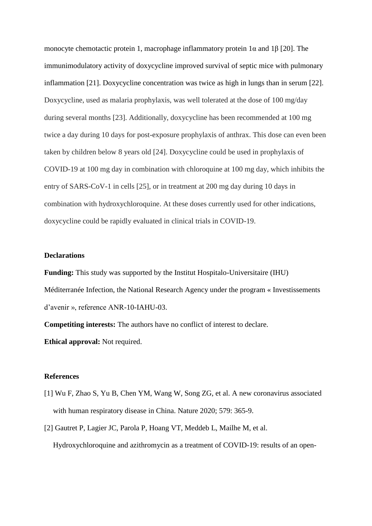monocyte chemotactic protein 1, macrophage inflammatory protein  $1\alpha$  and  $1\beta$  [20]. The immunimodulatory activity of doxycycline improved survival of septic mice with pulmonary inflammation [21]. Doxycycline concentration was twice as high in lungs than in serum [22]. Doxycycline, used as malaria prophylaxis, was well tolerated at the dose of 100 mg/day during several months [23]. Additionally, doxycycline has been recommended at 100 mg twice a day during 10 days for post-exposure prophylaxis of anthrax. This dose can even been taken by children below 8 years old [24]. Doxycycline could be used in prophylaxis of COVID-19 at 100 mg day in combination with chloroquine at 100 mg day, which inhibits the entry of SARS-CoV-1 in cells [25], or in treatment at 200 mg day during 10 days in combination with hydroxychloroquine. At these doses currently used for other indications, doxycycline could be rapidly evaluated in clinical trials in COVID-19.

### **Declarations**

**Funding:** This study was supported by the Institut Hospitalo-Universitaire (IHU) Méditerranée Infection, the National Research Agency under the program « Investissements d'avenir », reference ANR-10-IAHU-03.

**Competiting interests:** The authors have no conflict of interest to declare. **Ethical approval:** Not required.

### **References**

- [1] Wu F, Zhao S, Yu B, Chen YM, Wang W, Song ZG, et al. A new coronavirus associated with human respiratory disease in China. Nature 2020; 579: 365-9.
- [2] Gautret P, Lagier JC, Parola P, Hoang VT, Meddeb L, Mailhe M, et al. Hydroxychloroquine and azithromycin as a treatment of COVID-19: results of an open-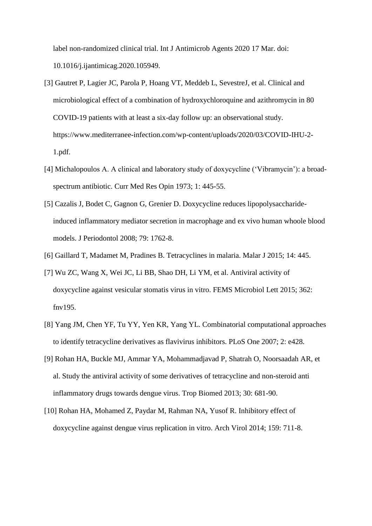label non-randomized clinical trial. Int J Antimicrob Agents 2020 17 Mar. doi: 10.1016/j.ijantimicag.2020.105949.

- [3] Gautret P, Lagier JC, Parola P, Hoang VT, Meddeb L, SevestreJ, et al. Clinical and microbiological effect of a combination of hydroxychloroquine and azithromycin in 80 COVID-19 patients with at least a six-day follow up: an observational study. https://www.mediterranee-infection.com/wp-content/uploads/2020/03/COVID-IHU-2- 1.pdf.
- [4] Michalopoulos A. A clinical and laboratory study of doxycycline ('Vibramycin'): a broadspectrum antibiotic. Curr Med Res Opin 1973; 1: 445-55.
- [5] Cazalis J, Bodet C, Gagnon G, Grenier D. Doxycycline reduces lipopolysaccharideinduced inflammatory mediator secretion in macrophage and ex vivo human whoole blood models. J Periodontol 2008; 79: 1762-8.
- [6] Gaillard T, Madamet M, Pradines B. Tetracyclines in malaria. Malar J 2015; 14: 445.
- [7] Wu ZC, Wang X, Wei JC, Li BB, Shao DH, Li YM, et al. Antiviral activity of doxycycline against vesicular stomatis virus in vitro. FEMS Microbiol Lett 2015; 362: fnv195.
- [8] Yang JM, Chen YF, Tu YY, Yen KR, Yang YL. Combinatorial computational approaches to identify tetracycline derivatives as flavivirus inhibitors. PLoS One 2007; 2: e428.
- [9] Rohan HA, Buckle MJ, Ammar YA, Mohammadjavad P, Shatrah O, Noorsaadah AR, et al. Study the antiviral activity of some derivatives of tetracycline and non-steroid anti inflammatory drugs towards dengue virus. Trop Biomed 2013; 30: 681-90.
- [10] Rohan HA, Mohamed Z, Paydar M, Rahman NA, Yusof R. Inhibitory effect of doxycycline against dengue virus replication in vitro. Arch Virol 2014; 159: 711-8.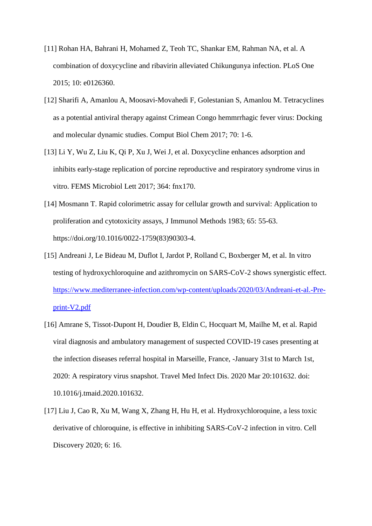- [11] Rohan HA, Bahrani H, Mohamed Z, Teoh TC, Shankar EM, Rahman NA, et al. A combination of doxycycline and ribavirin alleviated Chikungunya infection. PLoS One 2015; 10: e0126360.
- [12] Sharifi A, Amanlou A, Moosavi-Movahedi F, Golestanian S, Amanlou M. Tetracyclines as a potential antiviral therapy against Crimean Congo hemmrrhagic fever virus: Docking and molecular dynamic studies. Comput Biol Chem 2017; 70: 1-6.
- [13] Li Y, Wu Z, Liu K, Qi P, Xu J, Wei J, et al. Doxycycline enhances adsorption and inhibits early-stage replication of porcine reproductive and respiratory syndrome virus in vitro. FEMS Microbiol Lett 2017; 364: fnx170.
- [14] Mosmann T. Rapid colorimetric assay for cellular growth and survival: Application to proliferation and cytotoxicity assays, J Immunol Methods 1983; 65: 55-63. https://doi.org/10.1016/0022-1759(83)90303-4.
- [15] Andreani J, Le Bideau M, Duflot I, Jardot P, Rolland C, Boxberger M, et al. In vitro testing of hydroxychloroquine and azithromycin on SARS-CoV-2 shows synergistic effect. [https://www.mediterranee-infection.com/wp-content/uploads/2020/03/Andreani-et-al.-Pre](https://www.mediterranee-infection.com/wp-content/uploads/2020/03/Andreani-et-al.-Pre-print-V2.pdf)[print-V2.pdf](https://www.mediterranee-infection.com/wp-content/uploads/2020/03/Andreani-et-al.-Pre-print-V2.pdf)
- [16] Amrane S, Tissot-Dupont H, Doudier B, Eldin C, Hocquart M, Mailhe M, et al. Rapid viral diagnosis and ambulatory management of suspected COVID-19 cases presenting at the infection diseases referral hospital in Marseille, France, -January 31st to March 1st, 2020: A respiratory virus snapshot. Travel Med Infect Dis. 2020 Mar 20:101632. doi: 10.1016/j.tmaid.2020.101632.
- [17] Liu J, Cao R, Xu M, Wang X, Zhang H, Hu H, et al. Hydroxychloroquine, a less toxic derivative of chloroquine, is effective in inhibiting SARS-CoV-2 infection in vitro. Cell Discovery 2020; 6: 16.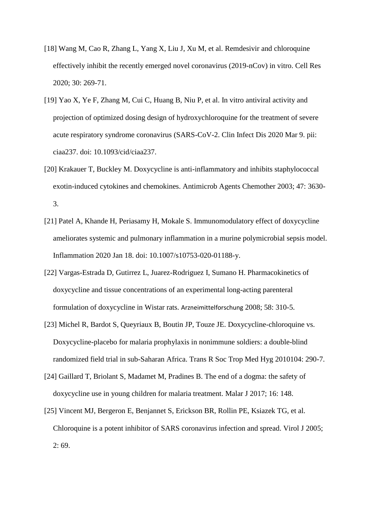- [18] Wang M, Cao R, Zhang L, Yang X, Liu J, Xu M, et al. Remdesivir and chloroquine effectively inhibit the recently emerged novel coronavirus (2019-nCov) in vitro. Cell Res 2020; 30: 269-71.
- [19] Yao X, Ye F, Zhang M, Cui C, Huang B, Niu P, et al. In vitro antiviral activity and projection of optimized dosing design of hydroxychloroquine for the treatment of severe acute respiratory syndrome coronavirus (SARS-CoV-2. Clin Infect Dis 2020 Mar 9. pii: ciaa237. doi: 10.1093/cid/ciaa237.
- [20] Krakauer T, Buckley M. Doxycycline is anti-inflammatory and inhibits staphylococcal exotin-induced cytokines and chemokines. Antimicrob Agents Chemother 2003; 47: 3630- 3.
- [21] Patel A, Khande H, Periasamy H, Mokale S. Immunomodulatory effect of doxycycline ameliorates systemic and pulmonary inflammation in a murine polymicrobial sepsis model. Inflammation 2020 Jan 18. doi: 10.1007/s10753-020-01188-y.
- [22] Vargas-Estrada D, Gutirrez L, Juarez-Rodriguez I, Sumano H. Pharmacokinetics of doxycycline and tissue concentrations of an experimental long-acting parenteral formulation of doxycycline in Wistar rats. Arzneimittelforschung 2008; 58: 310-5.
- [23] Michel R, Bardot S, Queyriaux B, Boutin JP, Touze JE. Doxycycline-chloroquine vs. Doxycycline-placebo for malaria prophylaxis in nonimmune soldiers: a double-blind randomized field trial in sub-Saharan Africa. Trans R Soc Trop Med Hyg 2010104: 290-7.
- [24] Gaillard T, Briolant S, Madamet M, Pradines B. The end of a dogma: the safety of doxycycline use in young children for malaria treatment. Malar J 2017; 16: 148.
- [25] Vincent MJ, Bergeron E, Benjannet S, Erickson BR, Rollin PE, Ksiazek TG, et al. Chloroquine is a potent inhibitor of SARS coronavirus infection and spread. Virol J 2005;  $2:69.$